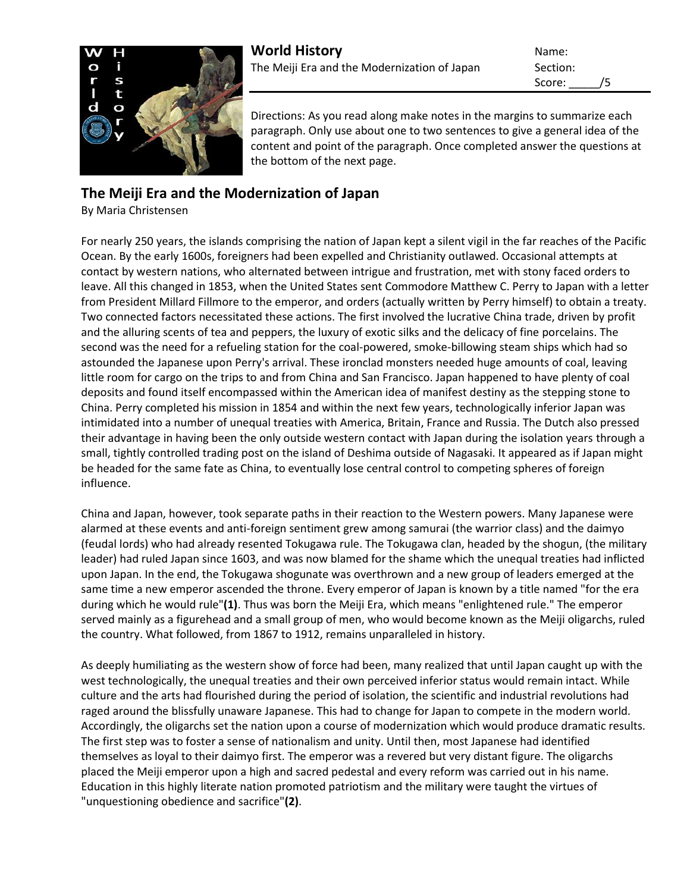

Score: /5

Directions: As you read along make notes in the margins to summarize each paragraph. Only use about one to two sentences to give a general idea of the content and point of the paragraph. Once completed answer the questions at the bottom of the next page.

## **The Meiji Era and the Modernization of Japan**

By Maria Christensen

For nearly 250 years, the islands comprising the nation of Japan kept a silent vigil in the far reaches of the Pacific Ocean. By the early 1600s, foreigners had been expelled and Christianity outlawed. Occasional attempts at contact by western nations, who alternated between intrigue and frustration, met with stony faced orders to leave. All this changed in 1853, when the United States sent Commodore Matthew C. Perry to Japan with a letter from President Millard Fillmore to the emperor, and orders (actually written by Perry himself) to obtain a treaty. Two connected factors necessitated these actions. The first involved the lucrative China trade, driven by profit and the alluring scents of tea and peppers, the luxury of exotic silks and the delicacy of fine porcelains. The second was the need for a refueling station for the coal-powered, smoke-billowing steam ships which had so astounded the Japanese upon Perry's arrival. These ironclad monsters needed huge amounts of coal, leaving little room for cargo on the trips to and from China and San Francisco. Japan happened to have plenty of coal deposits and found itself encompassed within the American idea of manifest destiny as the stepping stone to China. Perry completed his mission in 1854 and within the next few years, technologically inferior Japan was intimidated into a number of unequal treaties with America, Britain, France and Russia. The Dutch also pressed their advantage in having been the only outside western contact with Japan during the isolation years through a small, tightly controlled trading post on the island of Deshima outside of Nagasaki. It appeared as if Japan might be headed for the same fate as China, to eventually lose central control to competing spheres of foreign influence.

China and Japan, however, took separate paths in their reaction to the Western powers. Many Japanese were alarmed at these events and anti-foreign sentiment grew among samurai (the warrior class) and the daimyo (feudal lords) who had already resented Tokugawa rule. The Tokugawa clan, headed by the shogun, (the military leader) had ruled Japan since 1603, and was now blamed for the shame which the unequal treaties had inflicted upon Japan. In the end, the Tokugawa shogunate was overthrown and a new group of leaders emerged at the same time a new emperor ascended the throne. Every emperor of Japan is known by a title named "for the era during which he would rule"**(1)**. Thus was born the Meiji Era, which means "enlightened rule." The emperor served mainly as a figurehead and a small group of men, who would become known as the Meiji oligarchs, ruled the country. What followed, from 1867 to 1912, remains unparalleled in history.

As deeply humiliating as the western show of force had been, many realized that until Japan caught up with the west technologically, the unequal treaties and their own perceived inferior status would remain intact. While culture and the arts had flourished during the period of isolation, the scientific and industrial revolutions had raged around the blissfully unaware Japanese. This had to change for Japan to compete in the modern world. Accordingly, the oligarchs set the nation upon a course of modernization which would produce dramatic results. The first step was to foster a sense of nationalism and unity. Until then, most Japanese had identified themselves as loyal to their daimyo first. The emperor was a revered but very distant figure. The oligarchs placed the Meiji emperor upon a high and sacred pedestal and every reform was carried out in his name. Education in this highly literate nation promoted patriotism and the military were taught the virtues of "unquestioning obedience and sacrifice"**(2)**.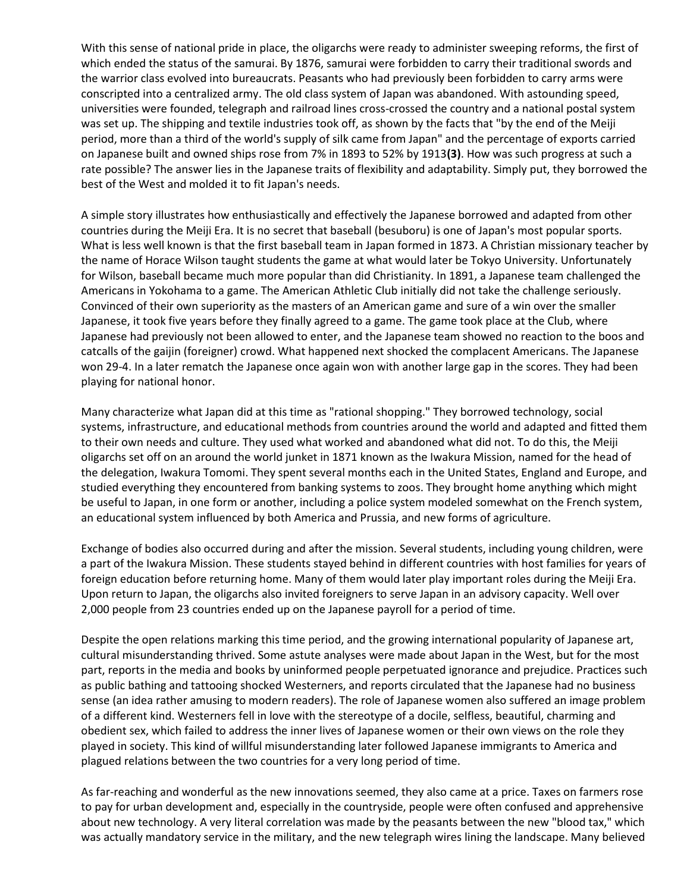With this sense of national pride in place, the oligarchs were ready to administer sweeping reforms, the first of which ended the status of the samurai. By 1876, samurai were forbidden to carry their traditional swords and the warrior class evolved into bureaucrats. Peasants who had previously been forbidden to carry arms were conscripted into a centralized army. The old class system of Japan was abandoned. With astounding speed, universities were founded, telegraph and railroad lines cross-crossed the country and a national postal system was set up. The shipping and textile industries took off, as shown by the facts that "by the end of the Meiji period, more than a third of the world's supply of silk came from Japan" and the percentage of exports carried on Japanese built and owned ships rose from 7% in 1893 to 52% by 1913**(3)**. How was such progress at such a rate possible? The answer lies in the Japanese traits of flexibility and adaptability. Simply put, they borrowed the best of the West and molded it to fit Japan's needs.

A simple story illustrates how enthusiastically and effectively the Japanese borrowed and adapted from other countries during the Meiji Era. It is no secret that baseball (besuboru) is one of Japan's most popular sports. What is less well known is that the first baseball team in Japan formed in 1873. A Christian missionary teacher by the name of Horace Wilson taught students the game at what would later be Tokyo University. Unfortunately for Wilson, baseball became much more popular than did Christianity. In 1891, a Japanese team challenged the Americans in Yokohama to a game. The American Athletic Club initially did not take the challenge seriously. Convinced of their own superiority as the masters of an American game and sure of a win over the smaller Japanese, it took five years before they finally agreed to a game. The game took place at the Club, where Japanese had previously not been allowed to enter, and the Japanese team showed no reaction to the boos and catcalls of the gaijin (foreigner) crowd. What happened next shocked the complacent Americans. The Japanese won 29-4. In a later rematch the Japanese once again won with another large gap in the scores. They had been playing for national honor.

Many characterize what Japan did at this time as "rational shopping." They borrowed technology, social systems, infrastructure, and educational methods from countries around the world and adapted and fitted them to their own needs and culture. They used what worked and abandoned what did not. To do this, the Meiji oligarchs set off on an around the world junket in 1871 known as the Iwakura Mission, named for the head of the delegation, Iwakura Tomomi. They spent several months each in the United States, England and Europe, and studied everything they encountered from banking systems to zoos. They brought home anything which might be useful to Japan, in one form or another, including a police system modeled somewhat on the French system, an educational system influenced by both America and Prussia, and new forms of agriculture.

Exchange of bodies also occurred during and after the mission. Several students, including young children, were a part of the Iwakura Mission. These students stayed behind in different countries with host families for years of foreign education before returning home. Many of them would later play important roles during the Meiji Era. Upon return to Japan, the oligarchs also invited foreigners to serve Japan in an advisory capacity. Well over 2,000 people from 23 countries ended up on the Japanese payroll for a period of time.

Despite the open relations marking this time period, and the growing international popularity of Japanese art, cultural misunderstanding thrived. Some astute analyses were made about Japan in the West, but for the most part, reports in the media and books by uninformed people perpetuated ignorance and prejudice. Practices such as public bathing and tattooing shocked Westerners, and reports circulated that the Japanese had no business sense (an idea rather amusing to modern readers). The role of Japanese women also suffered an image problem of a different kind. Westerners fell in love with the stereotype of a docile, selfless, beautiful, charming and obedient sex, which failed to address the inner lives of Japanese women or their own views on the role they played in society. This kind of willful misunderstanding later followed Japanese immigrants to America and plagued relations between the two countries for a very long period of time.

As far-reaching and wonderful as the new innovations seemed, they also came at a price. Taxes on farmers rose to pay for urban development and, especially in the countryside, people were often confused and apprehensive about new technology. A very literal correlation was made by the peasants between the new "blood tax," which was actually mandatory service in the military, and the new telegraph wires lining the landscape. Many believed